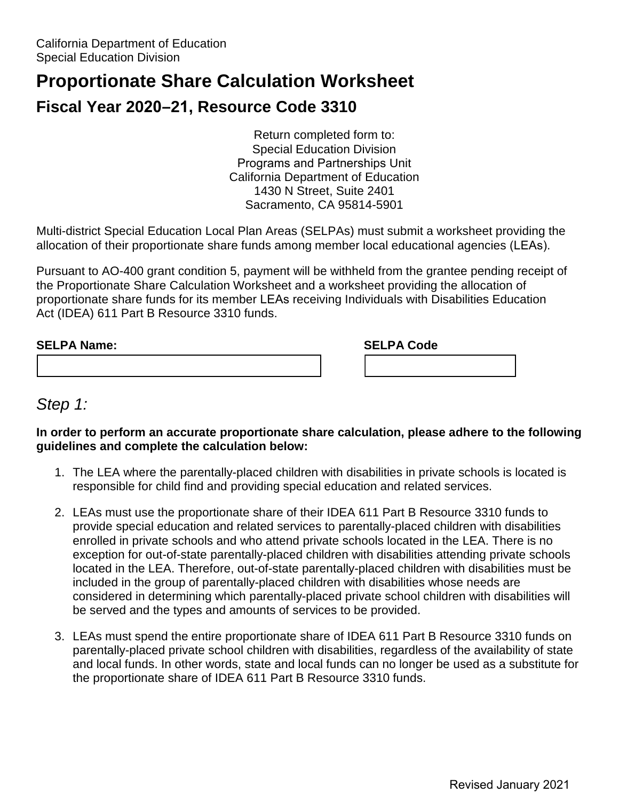# **Proportionate Share Calculation Worksheet**

# **Fiscal Year 2020–21, Resource Code 3310**

Return completed form to: Special Education Division Programs and Partnerships Unit California Department of Education 1430 N Street, Suite 2401 Sacramento, CA 95814-5901

 allocation of their proportionate share funds among member local educational agencies (LEAs). Multi-district Special Education Local Plan Areas (SELPAs) must submit a worksheet providing the

 Act (IDEA) 611 Part B Resource 3310 funds. Pursuant to AO-400 grant condition 5, payment will be withheld from the grantee pending receipt of the Proportionate Share Calculation Worksheet and a worksheet providing the allocation of proportionate share funds for its member LEAs receiving Individuals with Disabilities Education

| <b>SELPA Name:</b> | <b>SELPA Code</b> |  |
|--------------------|-------------------|--|
|                    |                   |  |

### *Step 1:*

#### **In order to perform an accurate proportionate share calculation, please adhere to the following guidelines and complete the calculation below:**

- 1. The LEA where the parentally-placed children with disabilities in private schools is located is responsible for child find and providing special education and related services.
- enrolled in private schools and who attend private schools located in the LEA. There is no 2. LEAs must use the proportionate share of their IDEA 611 Part B Resource 3310 funds to provide special education and related services to parentally-placed children with disabilities exception for out-of-state parentally-placed children with disabilities attending private schools located in the LEA. Therefore, out-of-state parentally-placed children with disabilities must be included in the group of parentally-placed children with disabilities whose needs are considered in determining which parentally-placed private school children with disabilities will be served and the types and amounts of services to be provided.
- 3. LEAs must spend the entire proportionate share of IDEA 611 Part B Resource 3310 funds on and local funds. In other words, state and local funds can no longer be used as a substitute for parentally-placed private school children with disabilities, regardless of the availability of state the proportionate share of IDEA 611 Part B Resource 3310 funds.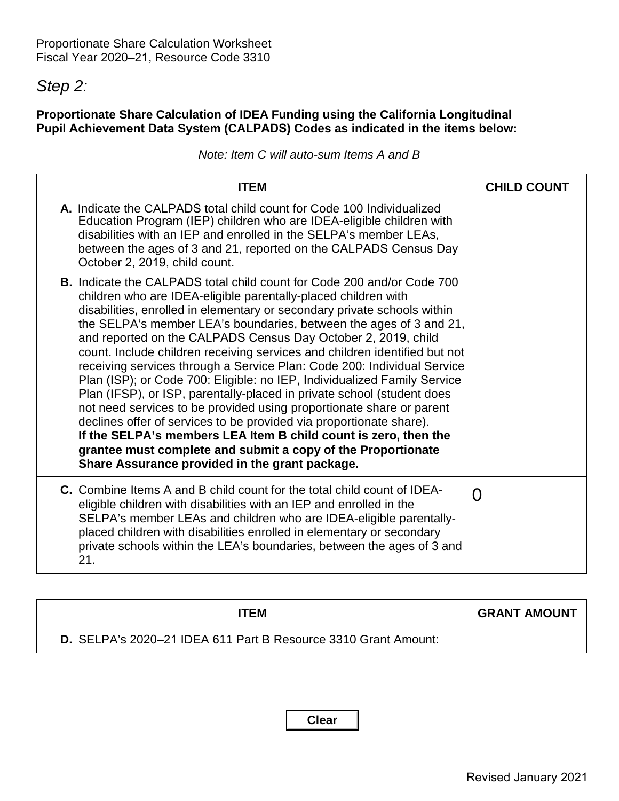## *Step 2:*

### **Proportionate Share Calculation of IDEA Funding using the California Longitudinal Pupil Achievement Data System (CALPADS) Codes as indicated in the items below:**

|  |  |  | Note: Item C will auto-sum Items A and B |  |  |
|--|--|--|------------------------------------------|--|--|
|--|--|--|------------------------------------------|--|--|

| <b>ITEM</b>                                                                                                                                                                                                                                                                                                                                                                                                                                                                                                                                                                                                                                                                                                                                                                                                                                                                                                                                                                                                           | <b>CHILD COUNT</b> |
|-----------------------------------------------------------------------------------------------------------------------------------------------------------------------------------------------------------------------------------------------------------------------------------------------------------------------------------------------------------------------------------------------------------------------------------------------------------------------------------------------------------------------------------------------------------------------------------------------------------------------------------------------------------------------------------------------------------------------------------------------------------------------------------------------------------------------------------------------------------------------------------------------------------------------------------------------------------------------------------------------------------------------|--------------------|
| A. Indicate the CALPADS total child count for Code 100 Individualized<br>Education Program (IEP) children who are IDEA-eligible children with<br>disabilities with an IEP and enrolled in the SELPA's member LEAs,<br>between the ages of 3 and 21, reported on the CALPADS Census Day<br>October 2, 2019, child count.                                                                                                                                                                                                                                                                                                                                                                                                                                                                                                                                                                                                                                                                                               |                    |
| <b>B.</b> Indicate the CALPADS total child count for Code 200 and/or Code 700<br>children who are IDEA-eligible parentally-placed children with<br>disabilities, enrolled in elementary or secondary private schools within<br>the SELPA's member LEA's boundaries, between the ages of 3 and 21,<br>and reported on the CALPADS Census Day October 2, 2019, child<br>count. Include children receiving services and children identified but not<br>receiving services through a Service Plan: Code 200: Individual Service<br>Plan (ISP); or Code 700: Eligible: no IEP, Individualized Family Service<br>Plan (IFSP), or ISP, parentally-placed in private school (student does<br>not need services to be provided using proportionate share or parent<br>declines offer of services to be provided via proportionate share).<br>If the SELPA's members LEA Item B child count is zero, then the<br>grantee must complete and submit a copy of the Proportionate<br>Share Assurance provided in the grant package. |                    |
| <b>C.</b> Combine Items A and B child count for the total child count of IDEA-<br>eligible children with disabilities with an IEP and enrolled in the<br>SELPA's member LEAs and children who are IDEA-eligible parentally-<br>placed children with disabilities enrolled in elementary or secondary<br>private schools within the LEA's boundaries, between the ages of 3 and<br>21.                                                                                                                                                                                                                                                                                                                                                                                                                                                                                                                                                                                                                                 | $\Omega$           |

| ITEM                                                           | <b>GRANT AMOUNT</b> |
|----------------------------------------------------------------|---------------------|
| D. SELPA's 2020–21 IDEA 611 Part B Resource 3310 Grant Amount: |                     |

**Clear**